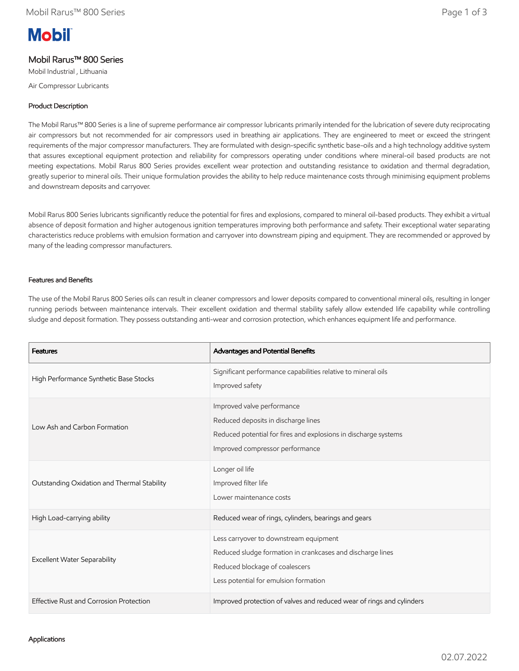# **Mobil**

# Mobil Rarus™ 800 Series

Mobil Industrial , Lithuania

Air Compressor Lubricants

### Product Description

The Mobil Rarus™ 800 Series is a line of supreme performance air compressor lubricants primarily intended for the lubrication of severe duty reciprocating air compressors but not recommended for air compressors used in breathing air applications. They are engineered to meet or exceed the stringent requirements of the major compressor manufacturers. They are formulated with design-specific synthetic base-oils and a high technology additive system that assures exceptional equipment protection and reliability for compressors operating under conditions where mineral-oil based products are not meeting expectations. Mobil Rarus 800 Series provides excellent wear protection and outstanding resistance to oxidation and thermal degradation, greatly superior to mineral oils. Their unique formulation provides the ability to help reduce maintenance costs through minimising equipment problems and downstream deposits and carryover.

Mobil Rarus 800 Series lubricants significantly reduce the potential for fires and explosions, compared to mineral oil-based products. They exhibit a virtual absence of deposit formation and higher autogenous ignition temperatures improving both performance and safety. Their exceptional water separating characteristics reduce problems with emulsion formation and carryover into downstream piping and equipment. They are recommended or approved by many of the leading compressor manufacturers.

### Features and Benefits

The use of the Mobil Rarus 800 Series oils can result in cleaner compressors and lower deposits compared to conventional mineral oils, resulting in longer running periods between maintenance intervals. Their excellent oxidation and thermal stability safely allow extended life capability while controlling sludge and deposit formation. They possess outstanding anti-wear and corrosion protection, which enhances equipment life and performance.

| <b>Features</b>                             | Advantages and Potential Benefits                                                                                                                                               |
|---------------------------------------------|---------------------------------------------------------------------------------------------------------------------------------------------------------------------------------|
| High Performance Synthetic Base Stocks      | Significant performance capabilities relative to mineral oils<br>Improved safety                                                                                                |
| Low Ash and Carbon Formation                | Improved valve performance<br>Reduced deposits in discharge lines<br>Reduced potential for fires and explosions in discharge systems<br>Improved compressor performance         |
| Outstanding Oxidation and Thermal Stability | Longer oil life<br>Improved filter life<br>Lower maintenance costs                                                                                                              |
| High Load-carrying ability                  | Reduced wear of rings, cylinders, bearings and gears                                                                                                                            |
| <b>Excellent Water Separability</b>         | Less carryover to downstream equipment<br>Reduced sludge formation in crankcases and discharge lines<br>Reduced blockage of coalescers<br>Less potential for emulsion formation |
| Effective Rust and Corrosion Protection     | Improved protection of valves and reduced wear of rings and cylinders                                                                                                           |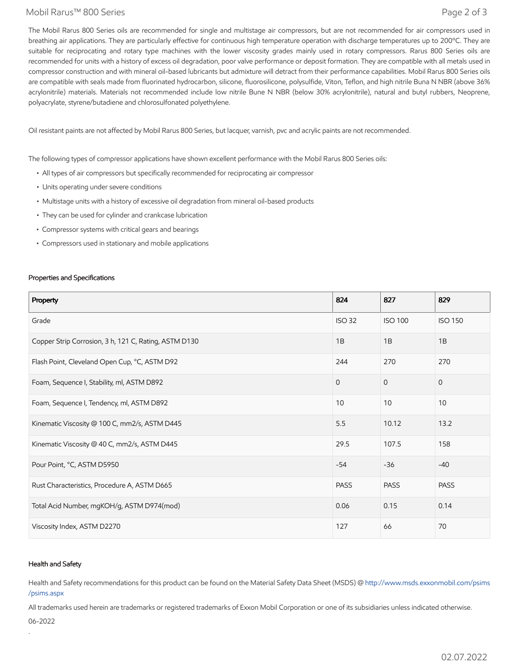### Mobil Rarus™ 800 Series Page 2 of 3

The Mobil Rarus 800 Series oils are recommended for single and multistage air compressors, but are not recommended for air compressors used in breathing air applications. They are particularly effective for continuous high temperature operation with discharge temperatures up to 200°C. They are suitable for reciprocating and rotary type machines with the lower viscosity grades mainly used in rotary compressors. Rarus 800 Series oils are recommended for units with a history of excess oil degradation, poor valve performance or deposit formation. They are compatible with all metals used in compressor construction and with mineral oil-based lubricants but admixture will detract from their performance capabilities. Mobil Rarus 800 Series oils are compatible with seals made from fluorinated hydrocarbon, silicone, fluorosilicone, polysulfide, Viton, Teflon, and high nitrile Buna N NBR (above 36% acrylonitrile) materials. Materials not recommended include low nitrile Bune N NBR (below 30% acrylonitrile), natural and butyl rubbers, Neoprene, polyacrylate, styrene/butadiene and chlorosulfonated polyethylene.

Oil resistant paints are not affected by Mobil Rarus 800 Series, but lacquer, varnish, pvc and acrylic paints are not recommended.

The following types of compressor applications have shown excellent performance with the Mobil Rarus 800 Series oils:

- All types of air compressors but specifically recommended for reciprocating air compressor
- Units operating under severe conditions
- Multistage units with a history of excessive oil degradation from mineral oil-based products
- They can be used for cylinder and crankcase lubrication
- Compressor systems with critical gears and bearings
- Compressors used in stationary and mobile applications

### Properties and Specifications

| Property                                              | 824           | 827            | 829            |
|-------------------------------------------------------|---------------|----------------|----------------|
| Grade                                                 | <b>ISO 32</b> | <b>ISO 100</b> | <b>ISO 150</b> |
| Copper Strip Corrosion, 3 h, 121 C, Rating, ASTM D130 | 1B            | 1B             | 1B             |
| Flash Point, Cleveland Open Cup, °C, ASTM D92         | 244           | 270            | 270            |
| Foam, Sequence I, Stability, ml, ASTM D892            | $\Omega$      | $\Omega$       | $\overline{0}$ |
| Foam, Sequence I, Tendency, ml, ASTM D892             | 10            | 10             | 10             |
| Kinematic Viscosity @ 100 C, mm2/s, ASTM D445         | 5.5           | 10.12          | 13.2           |
| Kinematic Viscosity @ 40 C, mm2/s, ASTM D445          | 29.5          | 107.5          | 158            |
| Pour Point, °C, ASTM D5950                            | $-54$         | $-36$          | $-40$          |
| Rust Characteristics, Procedure A, ASTM D665          | <b>PASS</b>   | <b>PASS</b>    | <b>PASS</b>    |
| Total Acid Number, mgKOH/g, ASTM D974(mod)            | 0.06          | 0.15           | 0.14           |
| Viscosity Index, ASTM D2270                           | 127           | 66             | 70             |

### Health and Safety

Health and Safety recommendations for this product can be found on the Material Safety Data Sheet (MSDS) @ [http://www.msds.exxonmobil.com/psims](http://www.msds.exxonmobil.com/psims/psims.aspx) /psims.aspx

All trademarks used herein are trademarks or registered trademarks of Exxon Mobil Corporation or one of its subsidiaries unless indicated otherwise.

06-2022

.